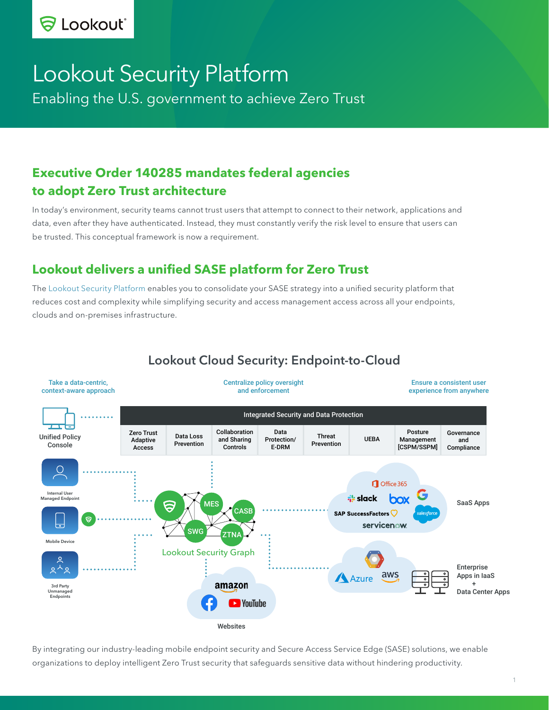# Lookout Security Platform

Enabling the U.S. government to achieve Zero Trust

## **Executive Order 140285 mandates federal agencies to adopt Zero Trust architecture**

In today's environment, security teams cannot trust users that attempt to connect to their network, applications and data, even after they have authenticated. Instead, they must constantly verify the risk level to ensure that users can be trusted. This conceptual framework is now a requirement.

## **Lookout delivers a unified SASE platform for Zero Trust**

The [Lookout Security Platform](https://lookout.com/products/platform) enables you to consolidate your SASE strategy into a unified security platform that reduces cost and complexity while simplifying security and access management access across all your endpoints, clouds and on-premises infrastructure.



## Lookout Cloud Security: Endpoint-to-Cloud

By integrating our industry-leading mobile endpoint security and Secure Access Service Edge (SASE) solutions, we enable organizations to deploy intelligent Zero Trust security that safeguards sensitive data without hindering productivity.